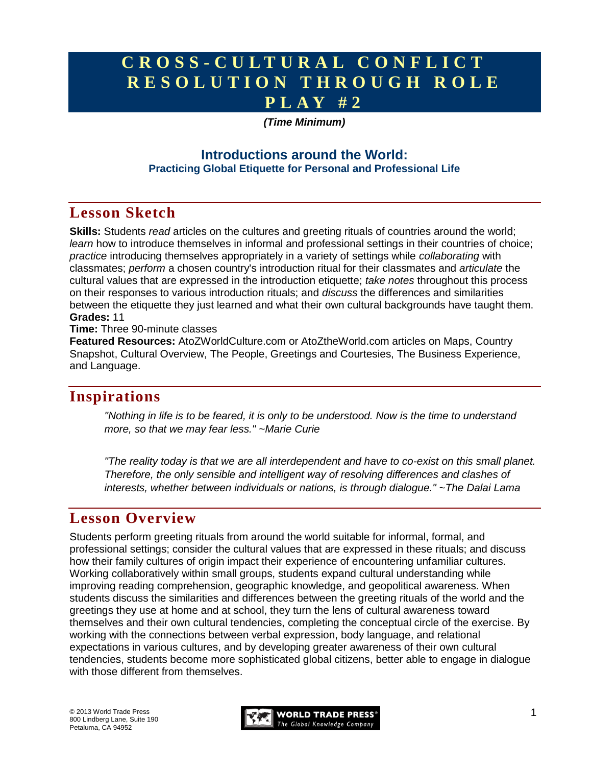# **C R O S S - C U L T U R A L C O N F L I C T R E S O L U T I O N T H R O U G H R O L E P L A Y # 2**

### *(Time Minimum)*

### **Introductions around the World: Practicing Global Etiquette for Personal and Professional Life**

## **Lesson Sketch**

**Skills:** Students *read* articles on the cultures and greeting rituals of countries around the world; *learn* how to introduce themselves in informal and professional settings in their countries of choice; *practice* introducing themselves appropriately in a variety of settings while *collaborating* with classmates; *perform* a chosen country's introduction ritual for their classmates and *articulate* the cultural values that are expressed in the introduction etiquette; *take notes* throughout this process on their responses to various introduction rituals; and *discuss* the differences and similarities between the etiquette they just learned and what their own cultural backgrounds have taught them. **Grades:** 11

**Time:** Three 90-minute classes

**Featured Resources:** AtoZWorldCulture.com or AtoZtheWorld.com articles on Maps, Country Snapshot, Cultural Overview, The People, Greetings and Courtesies, The Business Experience, and Language.

## **Inspirations**

*"Nothing in life is to be feared, it is only to be understood. Now is the time to understand more, so that we may fear less." ~Marie Curie*

*"The reality today is that we are all interdependent and have to co-exist on this small planet. Therefore, the only sensible and intelligent way of resolving differences and clashes of interests, whether between individuals or nations, is through dialogue." ~The Dalai Lama*

## **Lesson Overview**

Students perform greeting rituals from around the world suitable for informal, formal, and professional settings; consider the cultural values that are expressed in these rituals; and discuss how their family cultures of origin impact their experience of encountering unfamiliar cultures. Working collaboratively within small groups, students expand cultural understanding while improving reading comprehension, geographic knowledge, and geopolitical awareness. When students discuss the similarities and differences between the greeting rituals of the world and the greetings they use at home and at school, they turn the lens of cultural awareness toward themselves and their own cultural tendencies, completing the conceptual circle of the exercise. By working with the connections between verbal expression, body language, and relational expectations in various cultures, and by developing greater awareness of their own cultural tendencies, students become more sophisticated global citizens, better able to engage in dialogue with those different from themselves.

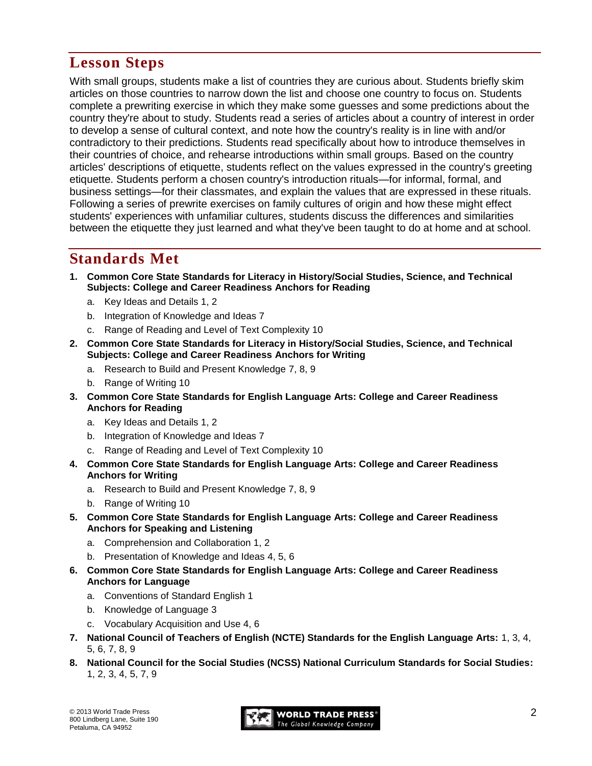# **Lesson Steps**

With small groups, students make a list of countries they are curious about. Students briefly skim articles on those countries to narrow down the list and choose one country to focus on. Students complete a prewriting exercise in which they make some guesses and some predictions about the country they're about to study. Students read a series of articles about a country of interest in order to develop a sense of cultural context, and note how the country's reality is in line with and/or contradictory to their predictions. Students read specifically about how to introduce themselves in their countries of choice, and rehearse introductions within small groups. Based on the country articles' descriptions of etiquette, students reflect on the values expressed in the country's greeting etiquette. Students perform a chosen country's introduction rituals—for informal, formal, and business settings—for their classmates, and explain the values that are expressed in these rituals. Following a series of prewrite exercises on family cultures of origin and how these might effect students' experiences with unfamiliar cultures, students discuss the differences and similarities between the etiquette they just learned and what they've been taught to do at home and at school.

## **Standards Met**

- **1. Common Core State Standards for Literacy in History/Social Studies, Science, and Technical Subjects: College and Career Readiness Anchors for Reading**
	- a. Key Ideas and Details 1, 2
	- b. Integration of Knowledge and Ideas 7
	- c. Range of Reading and Level of Text Complexity 10
- **2. Common Core State Standards for Literacy in History/Social Studies, Science, and Technical Subjects: College and Career Readiness Anchors for Writing**
	- a. Research to Build and Present Knowledge 7, 8, 9
	- b. Range of Writing 10
- **3. Common Core State Standards for English Language Arts: College and Career Readiness Anchors for Reading**
	- a. Key Ideas and Details 1, 2
	- b. Integration of Knowledge and Ideas 7
	- c. Range of Reading and Level of Text Complexity 10
- **4. Common Core State Standards for English Language Arts: College and Career Readiness Anchors for Writing**
	- a. Research to Build and Present Knowledge 7, 8, 9
	- b. Range of Writing 10
- **5. Common Core State Standards for English Language Arts: College and Career Readiness Anchors for Speaking and Listening**
	- a. Comprehension and Collaboration 1, 2
	- b. Presentation of Knowledge and Ideas 4, 5, 6
- **6. Common Core State Standards for English Language Arts: College and Career Readiness Anchors for Language**
	- a. Conventions of Standard English 1
	- b. Knowledge of Language 3
	- c. Vocabulary Acquisition and Use 4, 6
- **7. National Council of Teachers of English (NCTE) Standards for the English Language Arts:** 1, 3, 4, 5, 6, 7, 8, 9
- **8. National Council for the Social Studies (NCSS) National Curriculum Standards for Social Studies:**  1, 2, 3, 4, 5, 7, 9

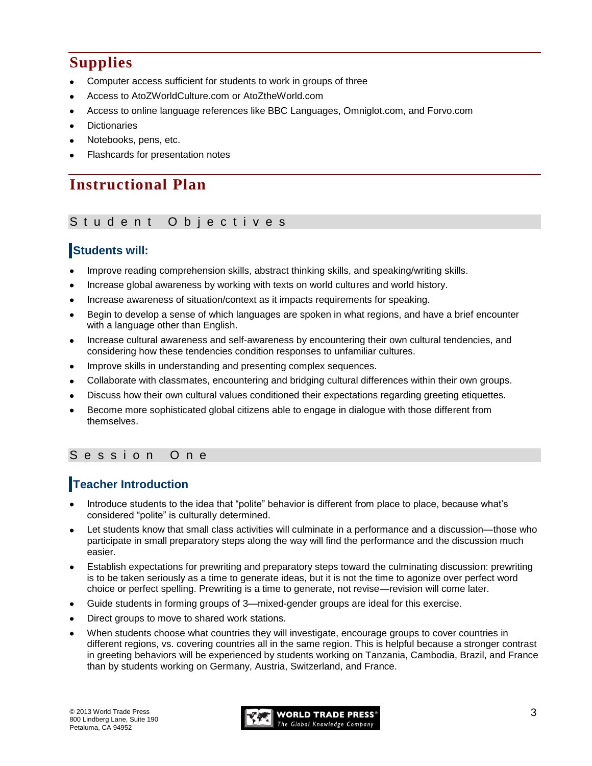# **Supplies**

- Computer access sufficient for students to work in groups of three
- Access to AtoZWorldCulture.com or AtoZtheWorld.com
- Access to online language references like BBC Languages, Omniglot.com, and Forvo.com
- **Dictionaries**
- Notebooks, pens, etc.
- Flashcards for presentation notes

# **Instructional Plan**

#### Student Objectives

### **Students will:**

- Improve reading comprehension skills, abstract thinking skills, and speaking/writing skills.
- Increase global awareness by working with texts on world cultures and world history.
- Increase awareness of situation/context as it impacts requirements for speaking.
- Begin to develop a sense of which languages are spoken in what regions, and have a brief encounter with a language other than English.
- Increase cultural awareness and self-awareness by encountering their own cultural tendencies, and considering how these tendencies condition responses to unfamiliar cultures.
- Improve skills in understanding and presenting complex sequences.
- Collaborate with classmates, encountering and bridging cultural differences within their own groups.
- Discuss how their own cultural values conditioned their expectations regarding greeting etiquettes.
- Become more sophisticated global citizens able to engage in dialogue with those different from themselves.

### Session One

## **Teacher Introduction**

- Introduce students to the idea that "polite" behavior is different from place to place, because what's considered "polite" is culturally determined.
- Let students know that small class activities will culminate in a performance and a discussion—those who participate in small preparatory steps along the way will find the performance and the discussion much easier.
- Establish expectations for prewriting and preparatory steps toward the culminating discussion: prewriting is to be taken seriously as a time to generate ideas, but it is not the time to agonize over perfect word choice or perfect spelling. Prewriting is a time to generate, not revise—revision will come later.
- Guide students in forming groups of 3—mixed-gender groups are ideal for this exercise.
- Direct groups to move to shared work stations.
- When students choose what countries they will investigate, encourage groups to cover countries in different regions, vs. covering countries all in the same region. This is helpful because a stronger contrast in greeting behaviors will be experienced by students working on Tanzania, Cambodia, Brazil, and France than by students working on Germany, Austria, Switzerland, and France.

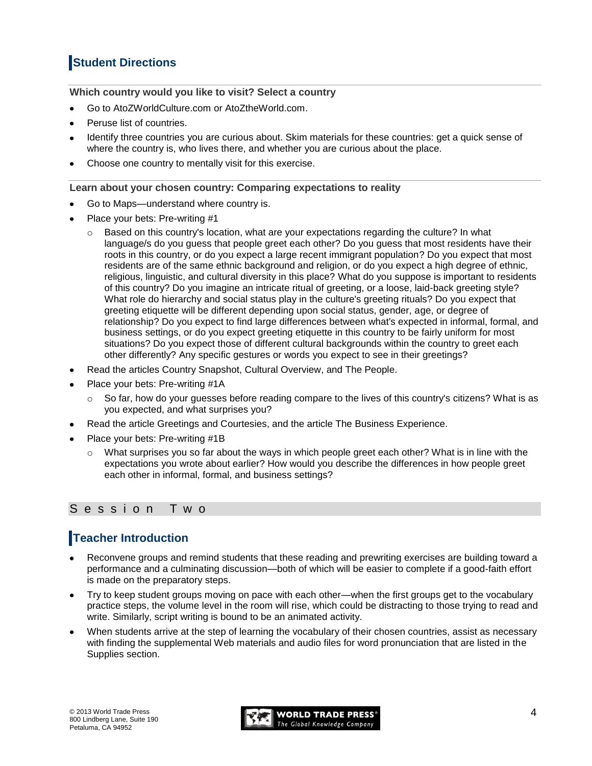## **Student Directions**

**Which country would you like to visit? Select a country**

- Go to AtoZWorldCulture.com or AtoZtheWorld.com.
- Peruse list of countries.
- Identify three countries you are curious about. Skim materials for these countries: get a quick sense of where the country is, who lives there, and whether you are curious about the place.
- Choose one country to mentally visit for this exercise.

#### **Learn about your chosen country: Comparing expectations to reality**

- Go to Maps—understand where country is.
- Place your bets: Pre-writing #1
	- Based on this country's location, what are your expectations regarding the culture? In what language/s do you guess that people greet each other? Do you guess that most residents have their roots in this country, or do you expect a large recent immigrant population? Do you expect that most residents are of the same ethnic background and religion, or do you expect a high degree of ethnic, religious, linguistic, and cultural diversity in this place? What do you suppose is important to residents of this country? Do you imagine an intricate ritual of greeting, or a loose, laid-back greeting style? What role do hierarchy and social status play in the culture's greeting rituals? Do you expect that greeting etiquette will be different depending upon social status, gender, age, or degree of relationship? Do you expect to find large differences between what's expected in informal, formal, and business settings, or do you expect greeting etiquette in this country to be fairly uniform for most situations? Do you expect those of different cultural backgrounds within the country to greet each other differently? Any specific gestures or words you expect to see in their greetings?
- Read the articles Country Snapshot, Cultural Overview, and The People.
- Place your bets: Pre-writing #1A
	- $\circ$  So far, how do your guesses before reading compare to the lives of this country's citizens? What is as you expected, and what surprises you?
- Read the article Greetings and Courtesies, and the article The Business Experience.
- Place your bets: Pre-writing #1B
	- $\circ$  What surprises you so far about the ways in which people greet each other? What is in line with the expectations you wrote about earlier? How would you describe the differences in how people greet each other in informal, formal, and business settings?

### S e s s i o n T w o

### **Teacher Introduction**

- Reconvene groups and remind students that these reading and prewriting exercises are building toward a performance and a culminating discussion—both of which will be easier to complete if a good-faith effort is made on the preparatory steps.
- Try to keep student groups moving on pace with each other—when the first groups get to the vocabulary practice steps, the volume level in the room will rise, which could be distracting to those trying to read and write. Similarly, script writing is bound to be an animated activity.
- When students arrive at the step of learning the vocabulary of their chosen countries, assist as necessary with finding the supplemental Web materials and audio files for word pronunciation that are listed in the Supplies section.

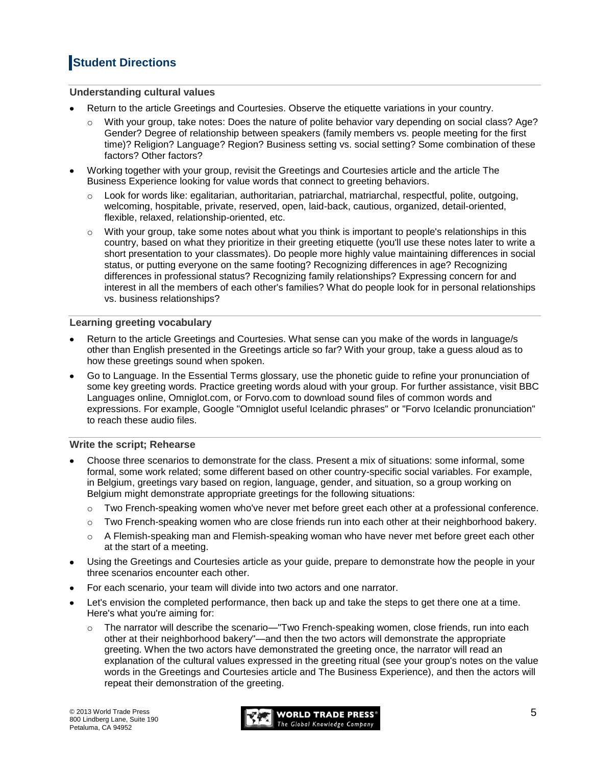## **Student Directions**

#### **Understanding cultural values**

- Return to the article Greetings and Courtesies. Observe the etiquette variations in your country.
	- With your group, take notes: Does the nature of polite behavior vary depending on social class? Age? Gender? Degree of relationship between speakers (family members vs. people meeting for the first time)? Religion? Language? Region? Business setting vs. social setting? Some combination of these factors? Other factors?
- Working together with your group, revisit the Greetings and Courtesies article and the article The Business Experience looking for value words that connect to greeting behaviors.
	- $\circ$  Look for words like: egalitarian, authoritarian, patriarchal, matriarchal, respectful, polite, outgoing, welcoming, hospitable, private, reserved, open, laid-back, cautious, organized, detail-oriented, flexible, relaxed, relationship-oriented, etc.
	- $\circ$  With your group, take some notes about what you think is important to people's relationships in this country, based on what they prioritize in their greeting etiquette (you'll use these notes later to write a short presentation to your classmates). Do people more highly value maintaining differences in social status, or putting everyone on the same footing? Recognizing differences in age? Recognizing differences in professional status? Recognizing family relationships? Expressing concern for and interest in all the members of each other's families? What do people look for in personal relationships vs. business relationships?

#### **Learning greeting vocabulary**

- Return to the article Greetings and Courtesies. What sense can you make of the words in language/s other than English presented in the Greetings article so far? With your group, take a guess aloud as to how these greetings sound when spoken.
- Go to Language. In the Essential Terms glossary, use the phonetic guide to refine your pronunciation of some key greeting words. Practice greeting words aloud with your group. For further assistance, visit BBC Languages online, Omniglot.com, or Forvo.com to download sound files of common words and expressions. For example, Google "Omniglot useful Icelandic phrases" or "Forvo Icelandic pronunciation" to reach these audio files.

#### **Write the script; Rehearse**

- Choose three scenarios to demonstrate for the class. Present a mix of situations: some informal, some formal, some work related; some different based on other country-specific social variables. For example, in Belgium, greetings vary based on region, language, gender, and situation, so a group working on Belgium might demonstrate appropriate greetings for the following situations:
	- $\circ$  Two French-speaking women who've never met before greet each other at a professional conference.
	- o Two French-speaking women who are close friends run into each other at their neighborhood bakery.
	- o A Flemish-speaking man and Flemish-speaking woman who have never met before greet each other at the start of a meeting.
- Using the Greetings and Courtesies article as your guide, prepare to demonstrate how the people in your three scenarios encounter each other.
- For each scenario, your team will divide into two actors and one narrator.
- Let's envision the completed performance, then back up and take the steps to get there one at a time. Here's what you're aiming for:
	- The narrator will describe the scenario—"Two French-speaking women, close friends, run into each other at their neighborhood bakery"—and then the two actors will demonstrate the appropriate greeting. When the two actors have demonstrated the greeting once, the narrator will read an explanation of the cultural values expressed in the greeting ritual (see your group's notes on the value words in the Greetings and Courtesies article and The Business Experience), and then the actors will repeat their demonstration of the greeting.

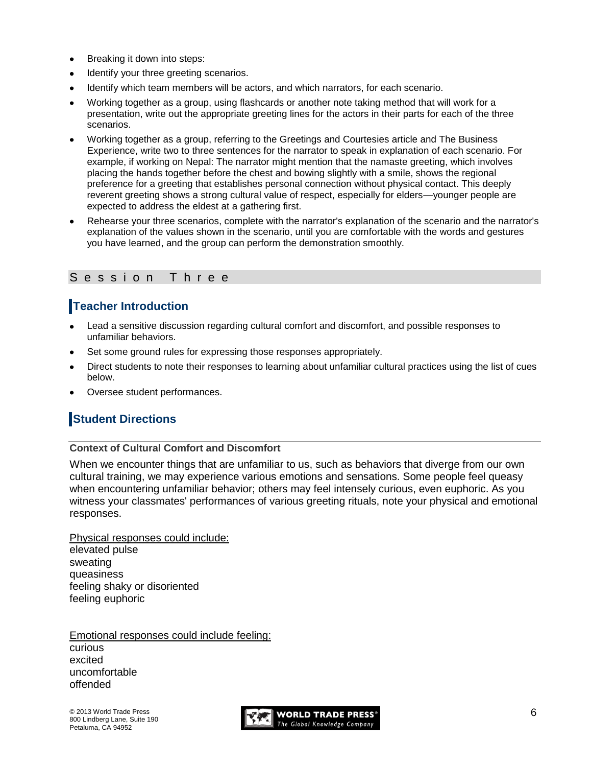- Breaking it down into steps:
- Identify your three greeting scenarios.
- Identify which team members will be actors, and which narrators, for each scenario.
- Working together as a group, using flashcards or another note taking method that will work for a presentation, write out the appropriate greeting lines for the actors in their parts for each of the three scenarios.
- Working together as a group, referring to the Greetings and Courtesies article and The Business Experience, write two to three sentences for the narrator to speak in explanation of each scenario. For example, if working on Nepal: The narrator might mention that the namaste greeting, which involves placing the hands together before the chest and bowing slightly with a smile, shows the regional preference for a greeting that establishes personal connection without physical contact. This deeply reverent greeting shows a strong cultural value of respect, especially for elders—younger people are expected to address the eldest at a gathering first.
- Rehearse your three scenarios, complete with the narrator's explanation of the scenario and the narrator's explanation of the values shown in the scenario, until you are comfortable with the words and gestures you have learned, and the group can perform the demonstration smoothly.

### Session Three

## **Teacher Introduction**

- Lead a sensitive discussion regarding cultural comfort and discomfort, and possible responses to unfamiliar behaviors.
- Set some ground rules for expressing those responses appropriately.
- Direct students to note their responses to learning about unfamiliar cultural practices using the list of cues below.
- Oversee student performances.

## **Student Directions**

#### **Context of Cultural Comfort and Discomfort**

When we encounter things that are unfamiliar to us, such as behaviors that diverge from our own cultural training, we may experience various emotions and sensations. Some people feel queasy when encountering unfamiliar behavior; others may feel intensely curious, even euphoric. As you witness your classmates' performances of various greeting rituals, note your physical and emotional responses.

Physical responses could include: elevated pulse sweating queasiness feeling shaky or disoriented feeling euphoric

Emotional responses could include feeling: curious excited uncomfortable offended

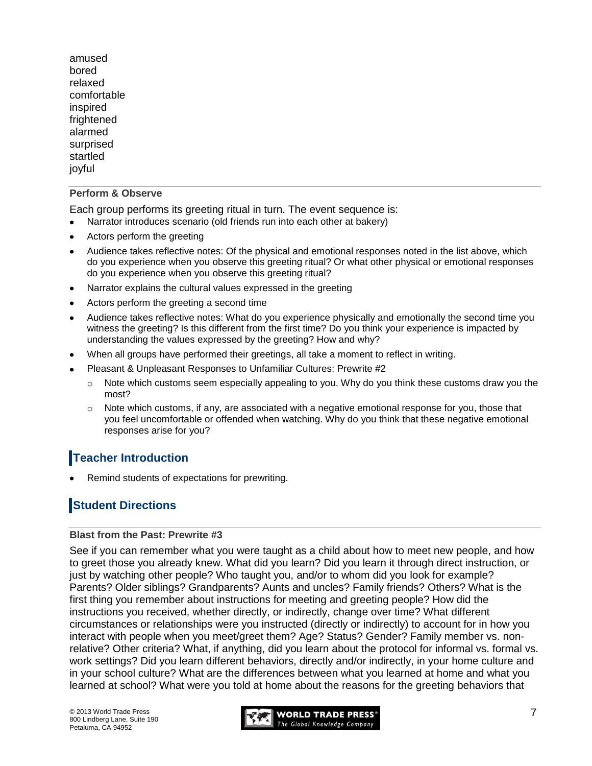amused bored relaxed comfortable inspired frightened alarmed surprised startled joyful

#### **Perform & Observe**

Each group performs its greeting ritual in turn. The event sequence is:

- Narrator introduces scenario (old friends run into each other at bakery)
- Actors perform the greeting
- Audience takes reflective notes: Of the physical and emotional responses noted in the list above, which do you experience when you observe this greeting ritual? Or what other physical or emotional responses do you experience when you observe this greeting ritual?
- Narrator explains the cultural values expressed in the greeting
- Actors perform the greeting a second time  $\bullet$
- Audience takes reflective notes: What do you experience physically and emotionally the second time you witness the greeting? Is this different from the first time? Do you think your experience is impacted by understanding the values expressed by the greeting? How and why?
- When all groups have performed their greetings, all take a moment to reflect in writing.
- Pleasant & Unpleasant Responses to Unfamiliar Cultures: Prewrite #2
	- $\circ$  Note which customs seem especially appealing to you. Why do you think these customs draw you the most?
	- $\circ$  Note which customs, if any, are associated with a negative emotional response for you, those that you feel uncomfortable or offended when watching. Why do you think that these negative emotional responses arise for you?

## **Teacher Introduction**

Remind students of expectations for prewriting.

## **Student Directions**

#### **Blast from the Past: Prewrite #3**

See if you can remember what you were taught as a child about how to meet new people, and how to greet those you already knew. What did you learn? Did you learn it through direct instruction, or just by watching other people? Who taught you, and/or to whom did you look for example? Parents? Older siblings? Grandparents? Aunts and uncles? Family friends? Others? What is the first thing you remember about instructions for meeting and greeting people? How did the instructions you received, whether directly, or indirectly, change over time? What different circumstances or relationships were you instructed (directly or indirectly) to account for in how you interact with people when you meet/greet them? Age? Status? Gender? Family member vs. nonrelative? Other criteria? What, if anything, did you learn about the protocol for informal vs. formal vs. work settings? Did you learn different behaviors, directly and/or indirectly, in your home culture and in your school culture? What are the differences between what you learned at home and what you learned at school? What were you told at home about the reasons for the greeting behaviors that

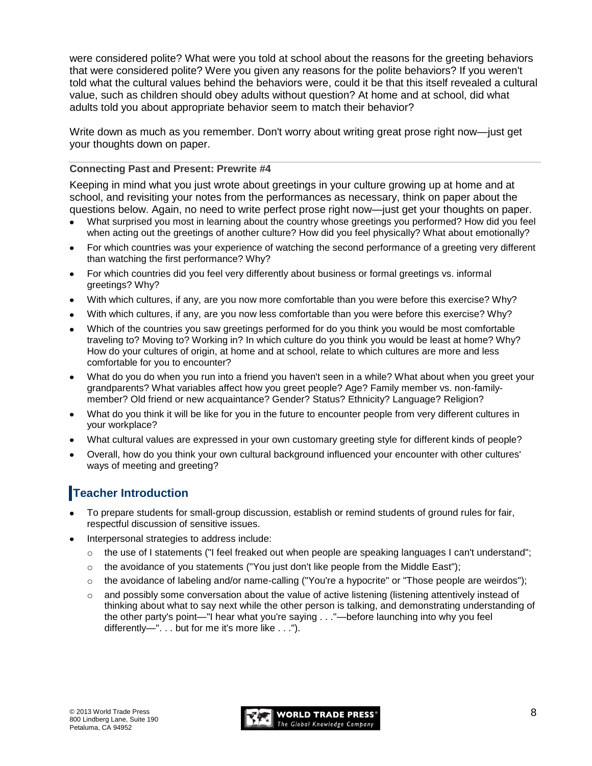were considered polite? What were you told at school about the reasons for the greeting behaviors that were considered polite? Were you given any reasons for the polite behaviors? If you weren't told what the cultural values behind the behaviors were, could it be that this itself revealed a cultural value, such as children should obey adults without question? At home and at school, did what adults told you about appropriate behavior seem to match their behavior?

Write down as much as you remember. Don't worry about writing great prose right now—just get your thoughts down on paper.

#### **Connecting Past and Present: Prewrite #4**

Keeping in mind what you just wrote about greetings in your culture growing up at home and at school, and revisiting your notes from the performances as necessary, think on paper about the questions below. Again, no need to write perfect prose right now—just get your thoughts on paper.

- What surprised you most in learning about the country whose greetings you performed? How did you feel when acting out the greetings of another culture? How did you feel physically? What about emotionally?
- For which countries was your experience of watching the second performance of a greeting very different than watching the first performance? Why?
- For which countries did you feel very differently about business or formal greetings vs. informal greetings? Why?
- With which cultures, if any, are you now more comfortable than you were before this exercise? Why?
- With which cultures, if any, are you now less comfortable than you were before this exercise? Why?
- Which of the countries you saw greetings performed for do you think you would be most comfortable traveling to? Moving to? Working in? In which culture do you think you would be least at home? Why? How do your cultures of origin, at home and at school, relate to which cultures are more and less comfortable for you to encounter?
- What do you do when you run into a friend you haven't seen in a while? What about when you greet your grandparents? What variables affect how you greet people? Age? Family member vs. non-familymember? Old friend or new acquaintance? Gender? Status? Ethnicity? Language? Religion?
- What do you think it will be like for you in the future to encounter people from very different cultures in  $\bullet$ your workplace?
- What cultural values are expressed in your own customary greeting style for different kinds of people?
- Overall, how do you think your own cultural background influenced your encounter with other cultures' ways of meeting and greeting?

## **Teacher Introduction**

- To prepare students for small-group discussion, establish or remind students of ground rules for fair, respectful discussion of sensitive issues.
- Interpersonal strategies to address include:
	- $\circ$  the use of I statements ("I feel freaked out when people are speaking languages I can't understand";
	- $\circ$  the avoidance of you statements ("You just don't like people from the Middle East");
	- $\circ$  the avoidance of labeling and/or name-calling ("You're a hypocrite" or "Those people are weirdos");
	- $\circ$  and possibly some conversation about the value of active listening (listening attentively instead of thinking about what to say next while the other person is talking, and demonstrating understanding of the other party's point—"I hear what you're saying . . ."—before launching into why you feel differently—". . . but for me it's more like . . .").